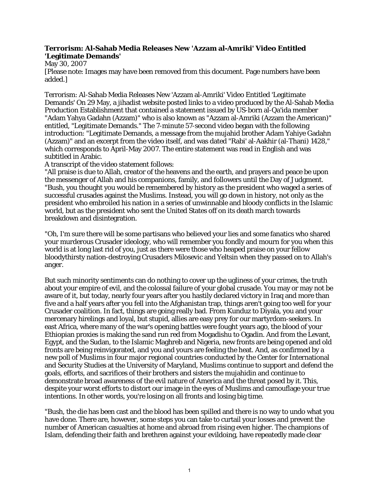## **Terrorism: Al-Sahab Media Releases New 'Azzam al-Amriki' Video Entitled 'Legitimate Demands'**

May 30, 2007

[Please note: Images may have been removed from this document. Page numbers have been added.]

Terrorism: Al-Sahab Media Releases New 'Azzam al-Amriki' Video Entitled 'Legitimate Demands' On 29 May, a jihadist website posted links to a video produced by the Al-Sahab Media Production Establishment that contained a statement issued by US-born al-Qa'ida member "Adam Yahya Gadahn (Azzam)" who is also known as "Azzam al-Amriki (Azzam the American)" entitled, "Legitimate Demands." The 7-minute 57-second video began with the following introduction: "Legitimate Demands, a message from the mujahid brother Adam Yahiye Gadahn (Azzam)" and an excerpt from the video itself, and was dated "Rabi' al-Aakhir (al-Thani) 1428," which corresponds to April-May 2007. The entire statement was read in English and was subtitled in Arabic.

A transcript of the video statement follows:

"All praise is due to Allah, creator of the heavens and the earth, and prayers and peace be upon the messenger of Allah and his companions, family, and followers until the Day of Judgment. "Bush, you thought you would be remembered by history as the president who waged a series of successful crusades against the Muslims. Instead, you will go down in history, not only as the president who embroiled his nation in a series of unwinnable and bloody conflicts in the Islamic world, but as the president who sent the United States off on its death march towards breakdown and disintegration.

"Oh, I'm sure there will be some partisans who believed your lies and some fanatics who shared your murderous Crusader ideology, who will remember you fondly and mourn for you when this world is at long last rid of you, just as there were those who heaped praise on your fellow bloodythirsty nation-destroying Crusaders Milosevic and Yeltsin when they passed on to Allah's anger.

But such minority sentiments can do nothing to cover up the ugliness of your crimes, the truth about your empire of evil, and the colossal failure of your global crusade. You may or may not be aware of it, but today, nearly four years after you hastily declared victory in Iraq and more than five and a half years after you fell into the Afghanistan trap, things aren't going too well for your Crusader coalition. In fact, things are going really bad. From Kunduz to Diyala, you and your mercenary hirelings and loyal, but stupid, allies are easy prey for our martyrdom-seekers. In east Africa, where many of the war's opening battles were fought years ago, the blood of your Ethiopian proxies is making the sand run red from Mogadishu to Ogadin. And from the Levant, Egypt, and the Sudan, to the Islamic Maghreb and Nigeria, new fronts are being opened and old fronts are being reinvigorated, and you and yours are feeling the heat. And, as confirmed by a new poll of Muslims in four major regional countries conducted by the Center for International and Security Studies at the University of Maryland, Muslims continue to support and defend the goals, efforts, and sacrifices of their brothers and sisters the mujahidin and continue to demonstrate broad awareness of the evil nature of America and the threat posed by it. This, despite your worst efforts to distort our image in the eyes of Muslims and camouflage your true intentions. In other words, you're losing on all fronts and losing big time.

"Bush, the die has been cast and the blood has been spilled and there is no way to undo what you have done. There are, however, some steps you can take to curtail your losses and prevent the number of American casualties at home and abroad from rising even higher. The champions of Islam, defending their faith and brethren against your evildoing, have repeatedly made clear